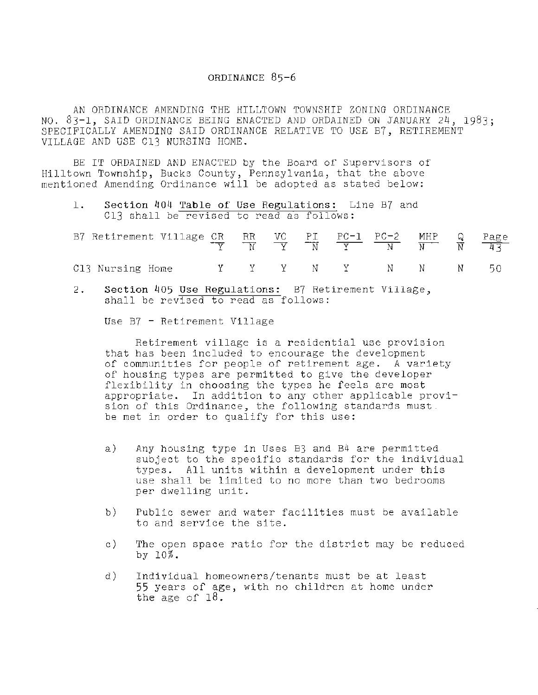## **ORDINANCE** 85-6

AN ORDINANCE AMENDING THE HILLTOWN TOWNSHIP ZONING ORDINANCE NO. 83-1, SAID ORDINANCE BEING ENACTED AND ORDAINED ON JANUARY 24, 1983; SPECIFICALLY AMENDING SAID ORDINANCE RELATIVE TO USE B7, RETIREMENT VILLAGE AND USE Cl3 NURSING HOME.

BE IT ORDAINED AND ENACTED by the Board of Supervisors of Hilltown Township, Bucks County, Pennsylvania, that the above mentioned Amending Ordinance will be adopted as stated below:

1. Section 404 Table of Use Regulations: Line B7 and C13 shall be revised to read as follows:

| B7 Retirement Village CR RR VC PI PC-1 PC-2 MHP Q Page |  |  |  |  |  |
|--------------------------------------------------------|--|--|--|--|--|
| C13 Nursing Home Y Y Y N Y N N N 50                    |  |  |  |  |  |

2. Section 405 Use Regulations: B7 Retirement Village, shall be revised to read as follows:

Use B7 - Retirement Village

Retirement village is a residential use provision that has been included to encourage the development of communities for people of retirement age. A variety of housing types are permitted to give the developer flexibility in choosing the types he feels are most appropriate. In addition to any other applicable provision of this Ordinance, the following standards must. be met in order to qualify for this use:

- a) Any housing type in Uses B3 and B4 are permitted subject to the specific standards for the individual types. All units within a development under this use shall be limited to no more than two bedrooms per dwelling unit.
- b) Public sewer and water facilities must be available to and service the site.
- c) The open space ratio for the district may be reduced by 10%.
- d) Individual homeowners/tenants must be at least 55 years of age, with no children at home under the age of 18.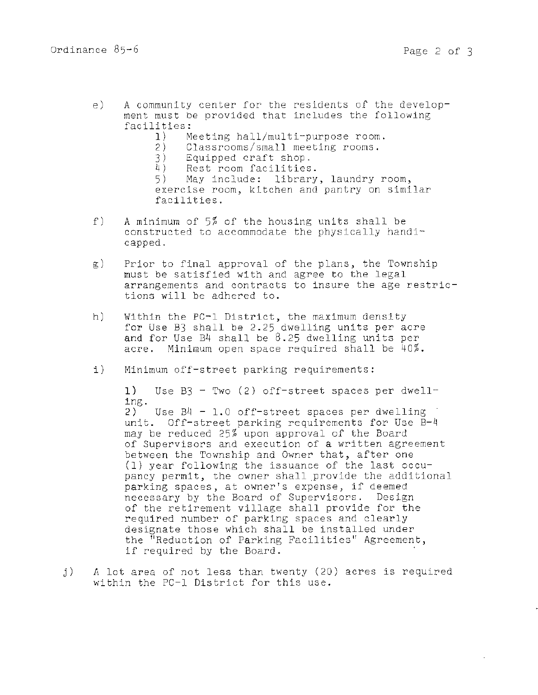- e) A community center for the residents of the development must be provided that includes the following facilities:<br>1) M
	- 1) Meeting hall/multi-purpose room.<br>2) Classrooms/small meeting rooms.
	- 2) Classrooms/small meeting rooms.<br>3) Equipped craft shop.
		-
	- 3) Equipped craft shop.<br>4) Rest room facilities Rest room facilities.

5) May include: library, laundry room, exercise room, kitchen and pantry on similar facilities.

- f) A minimum of  $5\%$  of the housing units shall be constructed to accommodate the physically handicapped.
- g) Prior to final approval of the plans, the Township must be satisfied with and agree to the legal arrangements and contracts to insure the age restrictions will be adhered to.
- h) Within the PC-1 District, the maximum density for Use B3 shall be 2.25 dwelling units per acre and for Use  $B4$  shall be  $8.25$  dwelling units per acre. Minimum open space required shall be 40%.
- i) Minimum off-street parking requirements:

**1)** Use B3 - Two (2) off-street spaces per dwell-2) Use  $B4 - 1.0$  off-street spaces per dwelling unit. Off-street parking requirements for Use B-4 may be reduced 25% upon approval of the Board of Supervisors and execution of a written agreement between the Township and Owner that, after one **(1)** year following the issuance of the last occupancy permit, the owner shall provide the additional parking spaces, at owner's expense, if deemed necessary by the Board of Supervisors. Design of the retirement village shall provide for the required number of parking spaces and clearly designate those which shall be installed under the "Reduction of Parking Facilities" Agreement, the requestion of Parking Facificies Agreement<br>if required by the Board.

j) *A* lot area of not less than twenty (20) acres is required within the PC-1 District for this use.